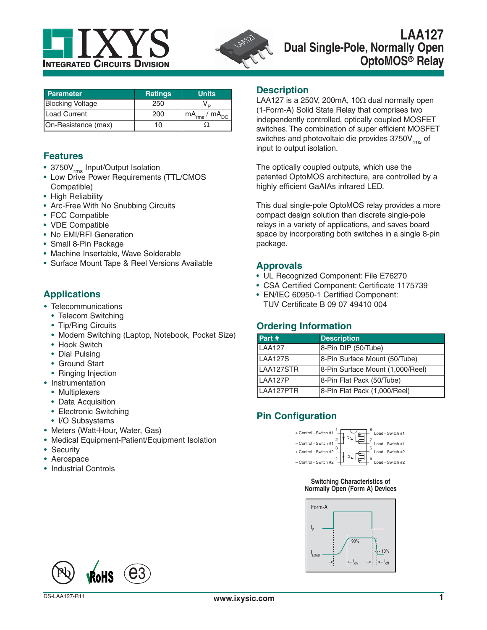



| <b>Parameter</b>        | <b>Ratings</b> | <b>Units</b>           |
|-------------------------|----------------|------------------------|
| <b>Blocking Voltage</b> | 250            |                        |
| <b>Load Current</b>     | 200            | $mA_{rms}$ / $mA_{DC}$ |
| On-Resistance (max)     | 10             |                        |

### **Features**

- 3750V<sub>rms</sub> Input/Output Isolation
- Low Drive Power Requirements (TTL/CMOS Compatible)
- High Reliability
- Arc-Free With No Snubbing Circuits
- FCC Compatible
- VDE Compatible
- No EMI/RFI Generation
- Small 8-Pin Package
- Machine Insertable, Wave Solderable
- Surface Mount Tape & Reel Versions Available

# **Applications**

- Telecommunications
	- Telecom Switching
	- Tip/Ring Circuits
	- Modem Switching (Laptop, Notebook, Pocket Size)
	- Hook Switch
	- Dial Pulsing
	- Ground Start
	- Ringing Injection
- Instrumentation
	- Multiplexers
	- Data Acquisition
	- Electronic Switching
	- I/O Subsystems
- Meters (Watt-Hour, Water, Gas)
- Medical Equipment-Patient/Equipment Isolation
- Security
- Aerospace
- Industrial Controls

### **Description**

LAA127 is a 250V, 200mA, 10 $\Omega$  dual normally open (1-Form-A) Solid State Relay that comprises two independently controlled, optically coupled MOSFET switches. The combination of super efficient MOSFET switches and photovoltaic die provides  $3750V_{rms}$  of input to output isolation.

The optically coupled outputs, which use the patented OptoMOS architecture, are controlled by a highly efficient GaAIAs infrared LED.

This dual single-pole OptoMOS relay provides a more compact design solution than discrete single-pole relays in a variety of applications, and saves board space by incorporating both switches in a single 8-pin package.

### **Approvals**

- UL Recognized Component: File E76270
- CSA Certified Component: Certificate 1175739
- EN/IEC 60950-1 Certified Component: TUV Certificate B 09 07 49410 004

# **Ordering Information**

| Part #         | <b>Description</b>               |
|----------------|----------------------------------|
| <b>LAA127</b>  | 8-Pin DIP (50/Tube)              |
| <b>LAA127S</b> | 8-Pin Surface Mount (50/Tube)    |
| LAA127STR      | 8-Pin Surface Mount (1,000/Reel) |
| LAA127P        | 8-Pin Flat Pack (50/Tube)        |
| LAA127PTR      | 8-Pin Flat Pack (1,000/Reel)     |

# **Pin Configuration**



#### **Switching Characteristics of Normally Open (Form A) Devices**



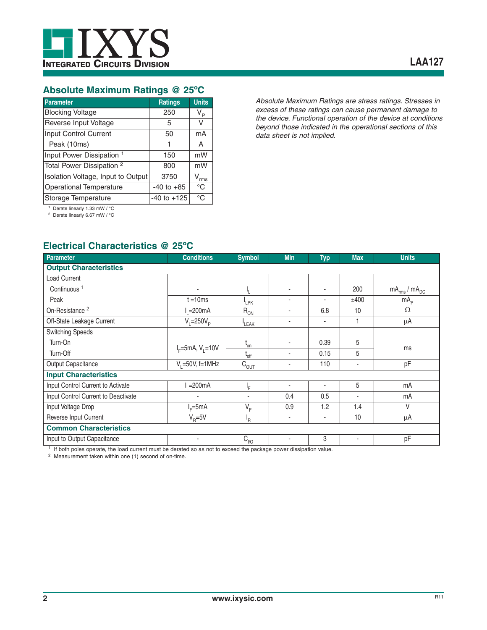

# **Absolute Maximum Ratings @ 25ºC**

| <b>Parameter</b>                     | <b>Ratings</b>  | <b>Units</b>   |
|--------------------------------------|-----------------|----------------|
| <b>Blocking Voltage</b>              | 250             | V <sub>P</sub> |
| Reverse Input Voltage                | 5               | V              |
| Input Control Current                | 50              | mA             |
| Peak (10ms)                          | 1               | A              |
| Input Power Dissipation 1            | 150             | mW             |
| Total Power Dissipation <sup>2</sup> | 800             | mW             |
| Isolation Voltage, Input to Output   | 3750            | rms            |
| Operational Temperature              | $-40$ to $+85$  | $^{\circ}C$    |
| Storage Temperature                  | $-40$ to $+125$ | $^{\circ}C$    |

*Absolute Maximum Ratings are stress ratings. Stresses in excess of these ratings can cause permanent damage to the device. Functional operation of the device at conditions beyond those indicated in the operational sections of this data sheet is not implied.*

1 Derate linearly 1.33 mW / °C 2 Derate linearly 6.67 mW / °C

# **Electrical Characteristics @ 25ºC**

| Parameter                           | <b>Conditions</b>      | <b>Symbol</b>             | <b>Min</b>     | <b>Typ</b> | <b>Max</b>     | <b>Units</b>           |
|-------------------------------------|------------------------|---------------------------|----------------|------------|----------------|------------------------|
| <b>Output Characteristics</b>       |                        |                           |                |            |                |                        |
| Load Current                        |                        |                           |                |            |                |                        |
| Continuous <sup>1</sup>             |                        | ١,                        |                |            | 200            | $mA_{rms}$ / $mA_{DC}$ |
| Peak                                | $t = 10ms$             | <sup>I</sup> LPK          | $\blacksquare$ |            | ±400           | mA <sub>p</sub>        |
| On-Resistance <sup>2</sup>          | l, =200mA              | $R_{ON}$                  | ٠              | 6.8        | 10             | $\Omega$               |
| Off-State Leakage Current           | $V_i = 250V_p$         | LEAK                      | ٠              | ٠          |                | μA                     |
| <b>Switching Speeds</b>             |                        |                           |                |            |                |                        |
| Turn-On                             | $I_F = 5mA, V_1 = 10V$ | $t_{\rm on}$              | ٠              | 0.39       | 5              |                        |
| Turn-Off                            |                        | $L_{off}$                 | ٠              | 0.15       | 5              | ms                     |
| Output Capacitance                  | $V_1 = 50V$ , f=1MHz   | $C_{\underline{OUT}}$     | ٠              | 110        | $\blacksquare$ | pF                     |
| <b>Input Characteristics</b>        |                        |                           |                |            |                |                        |
| Input Control Current to Activate   | $-200mA$               | ١F                        | ٠              | ٠          | 5              | mA                     |
| Input Control Current to Deactivate |                        | ٠                         | 0.4            | 0.5        | $\blacksquare$ | mA                     |
| Input Voltage Drop                  | $IF=5mA$               | $V_F$                     | 0.9            | 1.2        | 1.4            | V                      |
| Reverse Input Current               | $V_B = 5V$             | $\mathsf{I}_{\mathsf{R}}$ | ٠              | ٠          | 10             | μA                     |
| <b>Common Characteristics</b>       |                        |                           |                |            |                |                        |
| Input to Output Capacitance         | $\blacksquare$         | $C_{1/0}$                 |                | 3          | ٠              | pF                     |

<sup>1</sup> If both poles operate, the load current must be derated so as not to exceed the package power dissipation value.

2 Measurement taken within one (1) second of on-time.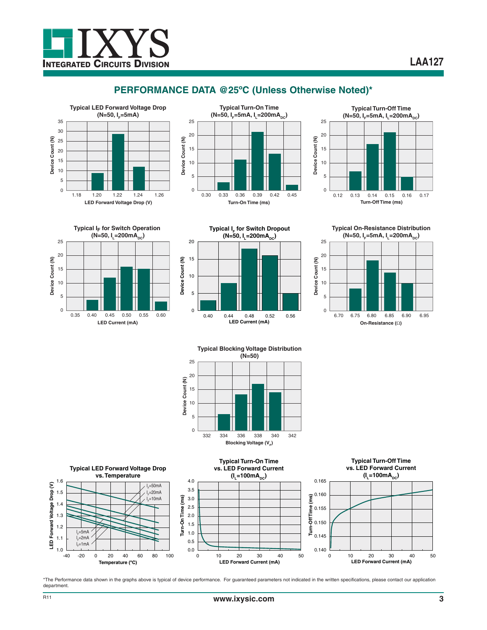

# **PERFORMANCE DATA @25ºC (Unless Otherwise Noted)\***







**Typical IF for Switch Operation**  $(N=50, I = 200mA<sub>pc</sub>)$ **LED Current (mA)** 25<br> **Device Count 15**<br>
25<br>
20<br>
15<br>
10<br>
5 20 15 10 5 0 0.35 0.45 0.55 0.40 0.50 0.60











\*The Performance data shown in the graphs above is typical of device performance. For guaranteed parameters not indicated in the written specifications, please contact our application department.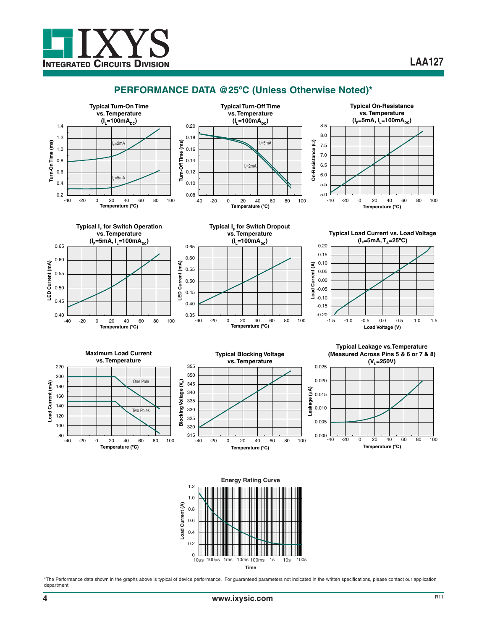

# **PERFORMANCE DATA @25ºC (Unless Otherwise Noted)\***

























\*The Performance data shown in the graphs above is typical of device performance. For guaranteed parameters not indicated in the written specifications, please contact our application department.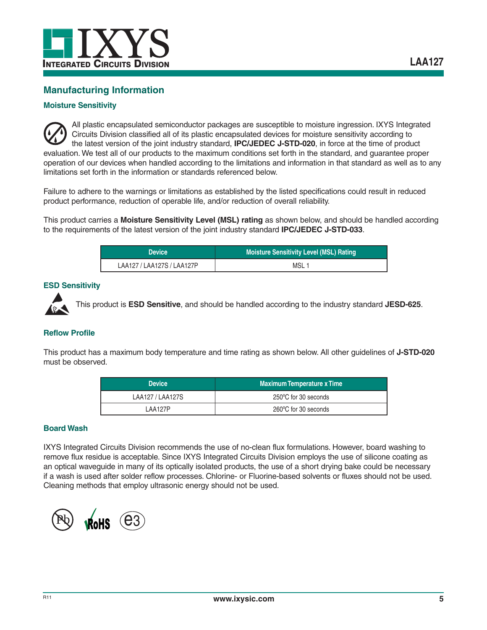

### **Manufacturing Information**

#### **Moisture Sensitivity**

All plastic encapsulated semiconductor packages are susceptible to moisture ingression. IXYS Integrated Circuits Division classified all of its plastic encapsulated devices for moisture sensitivity according to the latest version of the joint industry standard, **IPC/JEDEC J-STD-020**, in force at the time of product evaluation. We test all of our products to the maximum conditions set forth in the standard, and guarantee proper operation of our devices when handled according to the limitations and information in that standard as well as to any limitations set forth in the information or standards referenced below.

Failure to adhere to the warnings or limitations as established by the listed specifications could result in reduced product performance, reduction of operable life, and/or reduction of overall reliability.

This product carries a **Moisture Sensitivity Level (MSL) rating** as shown below, and should be handled according to the requirements of the latest version of the joint industry standard **IPC/JEDEC J-STD-033**.

| <b>Device</b>              | Moisture Sensitivity Level (MSL) Rating |  |
|----------------------------|-----------------------------------------|--|
| LAA127 / LAA127S / LAA127P | MSL 1                                   |  |

#### **ESD Sensitivity**



This product is **ESD Sensitive**, and should be handled according to the industry standard **JESD-625**.

#### **Reflow Profile**

This product has a maximum body temperature and time rating as shown below. All other guidelines of **J-STD-020** must be observed.

| <b>Device</b>    | <b>Maximum Temperature x Time</b> |  |
|------------------|-----------------------------------|--|
| LAA127 / LAA127S | 250°C for 30 seconds              |  |
| 1 AA127P         | 260°C for 30 seconds              |  |

#### **Board Wash**

IXYS Integrated Circuits Division recommends the use of no-clean flux formulations. However, board washing to remove flux residue is acceptable. Since IXYS Integrated Circuits Division employs the use of silicone coating as an optical waveguide in many of its optically isolated products, the use of a short drying bake could be necessary if a wash is used after solder reflow processes. Chlorine- or Fluorine-based solvents or fluxes should not be used. Cleaning methods that employ ultrasonic energy should not be used.

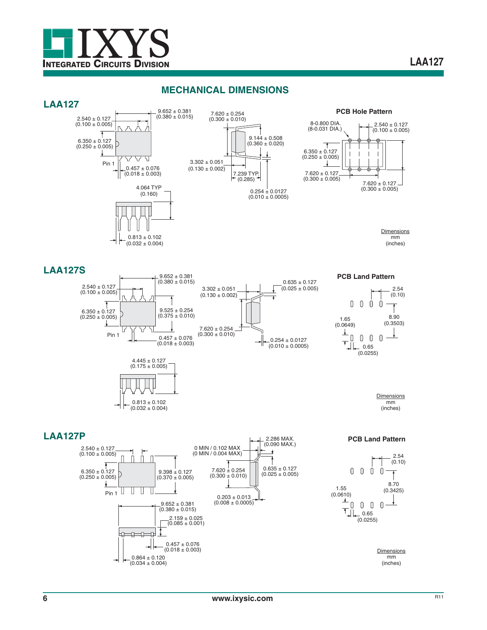

### **MECHANICAL DIMENSIONS**







**PCB Hole Pattern**



**Dimensions** mm (inches)

### **LAA127S**





**PCB Land Pattern**

 $0.635 \pm 0.127$  $(0.025 \pm 0.005)$ 

 $-0.254 \pm 0.0127$  $(0.010 \pm 0.0005)$ 



**Dimensions** mm (inches)

#### **LAA127P**

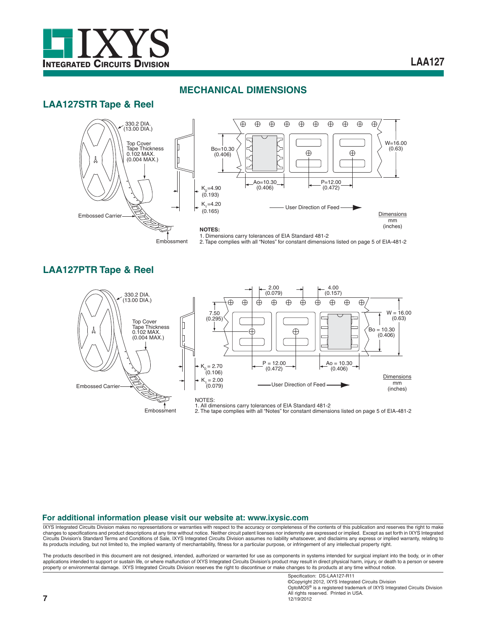

# **LAA127**

# **LAA127STR Tape & Reel**

### **MECHANICAL DIMENSIONS**



# **LAA127PTR Tape & Reel**



#### **For additional information please visit our website at: www.ixysic.com**

IXYS Integrated Circuits Division makes no representations or warranties with respect to the accuracy or completeness of the contents of this publication and reserves the right to make changes to specifications and product descriptions at any time without notice. Neither circuit patent licenses nor indemnity are expressed or implied. Except as set forth in IXYS Integrated Circuits Division's Standard Terms and Conditions of Sale, IXYS Integrated Circuits Division assumes no liability whatsoever, and disclaims any express or implied warranty, relating to its products including, but not limited to, the implied warranty of merchantability, fitness for a particular purpose, or infringement of any intellectual property right.

The products described in this document are not designed, intended, authorized or warranted for use as components in systems intended for surgical implant into the body, or in other<br>applications intended to support or sust property or environmental damage. IXYS Integrated Circuits Division reserves the right to discontinue or make changes to its products at any time without notice.